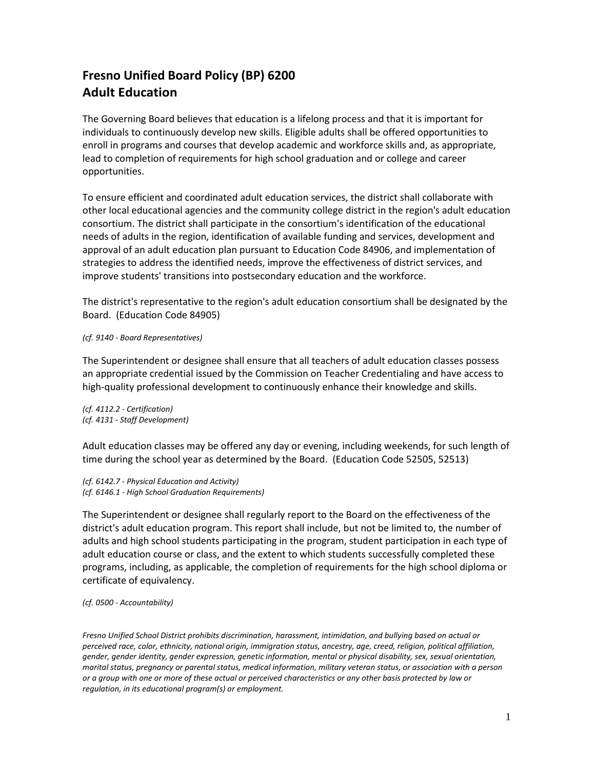## **Fresno Unified Board Policy (BP) 6200 Adult Education**

The Governing Board believes that education is a lifelong process and that it is important for individuals to continuously develop new skills. Eligible adults shall be offered opportunities to enroll in programs and courses that develop academic and workforce skills and, as appropriate, lead to completion of requirements for high school graduation and or college and career opportunities.

To ensure efficient and coordinated adult education services, the district shall collaborate with other local educational agencies and the community college district in the region's adult education consortium. The district shall participate in the consortium's identification of the educational needs of adults in the region, identification of available funding and services, development and approval of an adult education plan pursuant to Education Code 84906, and implementation of strategies to address the identified needs, improve the effectiveness of district services, and improve students' transitions into postsecondary education and the workforce.

The district's representative to the region's adult education consortium shall be designated by the Board. (Education Code 84905)

## *(cf. 9140 - Board Representatives)*

The Superintendent or designee shall ensure that all teachers of adult education classes possess an appropriate credential issued by the Commission on Teacher Credentialing and have access to high-quality professional development to continuously enhance their knowledge and skills.

*(cf. 4112.2 - Certification) (cf. 4131 - Staff Development)*

Adult education classes may be offered any day or evening, including weekends, for such length of time during the school year as determined by the Board. (Education Code 52505, 52513)

*(cf. 6142.7 - Physical Education and Activity) (cf. 6146.1 - High School Graduation Requirements)*

The Superintendent or designee shall regularly report to the Board on the effectiveness of the district's adult education program. This report shall include, but not be limited to, the number of adults and high school students participating in the program, student participation in each type of adult education course or class, and the extent to which students successfully completed these programs, including, as applicable, the completion of requirements for the high school diploma or certificate of equivalency.

*(cf. 0500 - Accountability)*

*Fresno Unified School District prohibits discrimination, harassment, intimidation, and bullying based on actual or perceived race, color, ethnicity, national origin, immigration status, ancestry, age, creed, religion, political affiliation, gender, gender identity, gender expression, genetic information, mental or physical disability, sex, sexual orientation, marital status, pregnancy or parental status, medical information, military veteran status, or association with a person or a group with one or more of these actual or perceived characteristics or any other basis protected by law or regulation, in its educational program(s) or employment.*